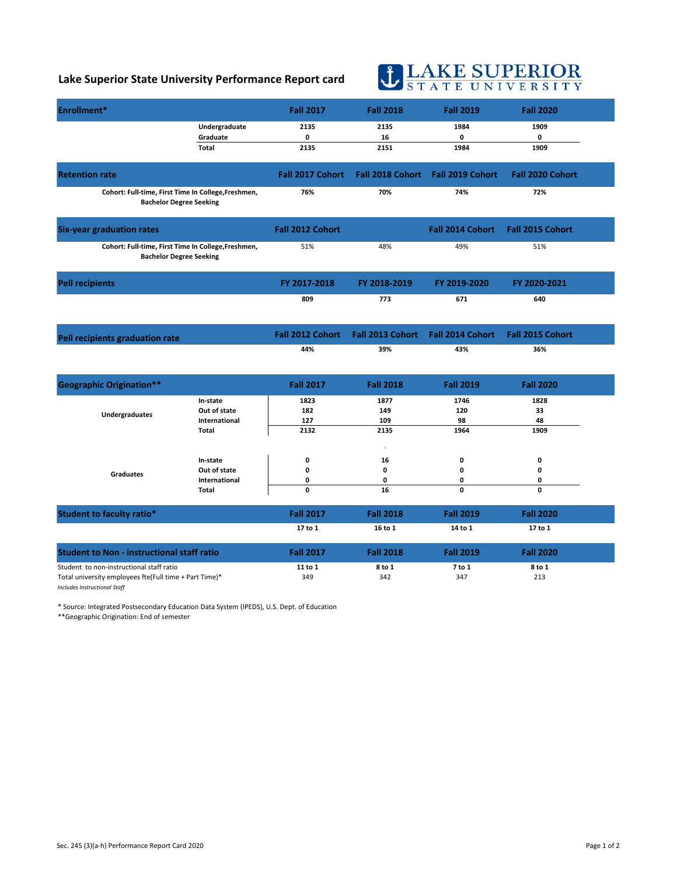## **Lake Superior State University Performance Report card**

## **U LAKE SUPERIOR**

| Enrollment*                                                                                                                        |                                                                  | <b>Fall 2017</b>           | <b>Fall 2018</b>                | <b>Fall 2019</b>           | <b>Fall 2020</b>         |  |
|------------------------------------------------------------------------------------------------------------------------------------|------------------------------------------------------------------|----------------------------|---------------------------------|----------------------------|--------------------------|--|
|                                                                                                                                    | Undergraduate<br>Graduate<br>Total                               | 2135<br>0<br>2135          | 2135<br>16<br>2151              | 1984<br>0<br>1984          | 1909<br>0<br>1909        |  |
| <b>Retention rate</b>                                                                                                              |                                                                  | <b>Fall 2017 Cohort</b>    | <b>Fall 2018 Cohort</b>         | <b>Fall 2019 Cohort</b>    | Fall 2020 Cohort         |  |
| Cohort: Full-time, First Time In College, Freshmen,<br><b>Bachelor Degree Seeking</b>                                              |                                                                  | 76%                        | 70%                             | 74%                        | 72%                      |  |
| <b>Six-year graduation rates</b>                                                                                                   |                                                                  | Fall 2012 Cohort           |                                 | <b>Fall 2014 Cohort</b>    | <b>Fall 2015 Cohort</b>  |  |
| Cohort: Full-time, First Time In College, Freshmen,<br><b>Bachelor Degree Seeking</b>                                              |                                                                  | 51%                        | 48%                             | 49%                        | 51%                      |  |
| <b>Pell recipients</b>                                                                                                             |                                                                  | FY 2017-2018               | FY 2018-2019                    | FY 2019-2020               | FY 2020-2021             |  |
|                                                                                                                                    |                                                                  | 809                        | 773                             | 671                        | 640                      |  |
| Pell recipients graduation rate                                                                                                    |                                                                  | <b>Fall 2012 Cohort</b>    | Fall 2013 Cohort                | <b>Fall 2014 Cohort</b>    | Fall 2015 Cohort         |  |
|                                                                                                                                    |                                                                  | 44%                        | 39%                             | 43%                        | 36%                      |  |
| <b>Geographic Origination**</b>                                                                                                    |                                                                  | <b>Fall 2017</b>           | <b>Fall 2018</b>                | <b>Fall 2019</b>           | <b>Fall 2020</b>         |  |
| <b>Undergraduates</b>                                                                                                              | In-state<br>Out of state<br><b>International</b><br><b>Total</b> | 1823<br>182<br>127<br>2132 | 1877<br>149<br>109<br>2135      | 1746<br>120<br>98<br>1964  | 1828<br>33<br>48<br>1909 |  |
| <b>Graduates</b>                                                                                                                   | In-state<br>Out of state<br>International<br>Total               | 0<br>0<br>0<br>0           | $\lambda$<br>16<br>0<br>0<br>16 | 0<br>$\mathbf 0$<br>0<br>0 | 0<br>0<br>0<br>0         |  |
| <b>Student to faculty ratio*</b>                                                                                                   |                                                                  | <b>Fall 2017</b>           | <b>Fall 2018</b>                | <b>Fall 2019</b>           | <b>Fall 2020</b>         |  |
|                                                                                                                                    |                                                                  | 17 to 1                    | 16 to 1                         | 14 to 1                    | 17 to 1                  |  |
| <b>Student to Non - instructional staff ratio</b>                                                                                  |                                                                  | <b>Fall 2017</b>           | <b>Fall 2018</b>                | <b>Fall 2019</b>           | <b>Fall 2020</b>         |  |
| Student to non-instructional staff ratio<br>Total university employees fte(Full time + Part Time)*<br>Includes Instructional Staff |                                                                  | 11 to 1<br>349             | 8 to 1<br>342                   | 7 to 1<br>347              | 8 to 1<br>213            |  |

\* Source: Integrated Postsecondary Education Data System (IPEDS), U.S. Dept. of Education

\*\*Geographic Origination: End of semester